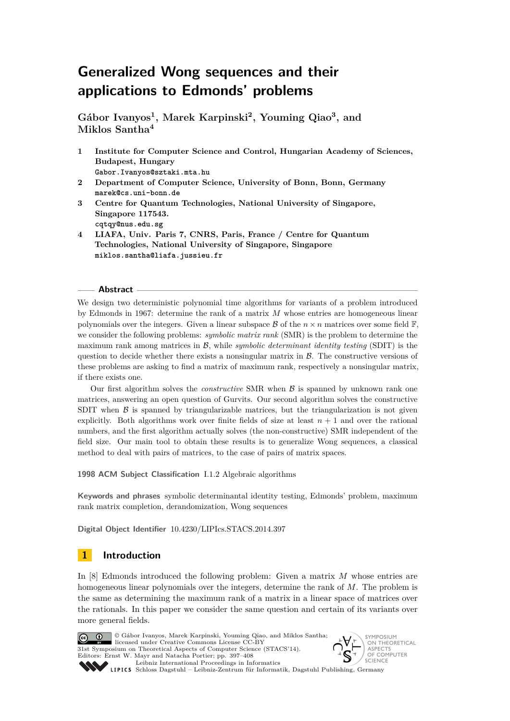**Gábor Ivanyos<sup>1</sup> , Marek Karpinski<sup>2</sup> , Youming Qiao<sup>3</sup> , and Miklos Santha<sup>4</sup>**

- **1 Institute for Computer Science and Control, Hungarian Academy of Sciences, Budapest, Hungary Gabor.Ivanyos@sztaki.mta.hu**
- **2 Department of Computer Science, University of Bonn, Bonn, Germany marek@cs.uni-bonn.de**
- **3 Centre for Quantum Technologies, National University of Singapore, Singapore 117543. cqtqy@nus.edu.sg**
- **4 LIAFA, Univ. Paris 7, CNRS, Paris, France / Centre for Quantum Technologies, National University of Singapore, Singapore miklos.santha@liafa.jussieu.fr**

# **Abstract**

We design two deterministic polynomial time algorithms for variants of a problem introduced by Edmonds in 1967: determine the rank of a matrix *M* whose entries are homogeneous linear polynomials over the integers. Given a linear subspace  $\mathcal B$  of the  $n \times n$  matrices over some field  $\mathbb F$ , we consider the following problems: *symbolic matrix rank* (SMR) is the problem to determine the maximum rank among matrices in B, while *symbolic determinant identity testing* (SDIT) is the question to decide whether there exists a nonsingular matrix in  $\beta$ . The constructive versions of these problems are asking to find a matrix of maximum rank, respectively a nonsingular matrix, if there exists one.

Our first algorithm solves the *constructive* SMR when B is spanned by unknown rank one matrices, answering an open question of Gurvits. Our second algorithm solves the constructive SDIT when  $\beta$  is spanned by triangularizable matrices, but the triangularization is not given explicitly. Both algorithms work over finite fields of size at least  $n + 1$  and over the rational numbers, and the first algorithm actually solves (the non-constructive) SMR independent of the field size. Our main tool to obtain these results is to generalize Wong sequences, a classical method to deal with pairs of matrices, to the case of pairs of matrix spaces.

**1998 ACM Subject Classification** I.1.2 Algebraic algorithms

**Keywords and phrases** symbolic determinantal identity testing, Edmonds' problem, maximum rank matrix completion, derandomization, Wong sequences

**Digital Object Identifier** [10.4230/LIPIcs.STACS.2014.397](http://dx.doi.org/10.4230/LIPIcs.STACS.2014.397)

# **1 Introduction**

In [\[8\]](#page-11-0) Edmonds introduced the following problem: Given a matrix *M* whose entries are homogeneous linear polynomials over the integers, determine the rank of *M*. The problem is the same as determining the maximum rank of a matrix in a linear space of matrices over the rationals. In this paper we consider the same question and certain of its variants over more general fields.



© Gábor Ivanyos, Marek Karpinski, Youming Qiao, and Miklos Santha; licensed under Creative Commons License CC-BY 31st Symposium on Theoretical Aspects of Computer Science (STACS'14). Editors: Ernst W. Mayr and Natacha Portier; pp. 397[–408](#page-11-1) [Leibniz International Proceedings in Informatics](http://www.dagstuhl.de/lipics/)



Leibniz International Froceedings in miormatik, Dagstuhl Publishing, Germany<br>LIPICS [Schloss Dagstuhl – Leibniz-Zentrum für Informatik, Dagstuhl Publishing, Germany](http://www.dagstuhl.de)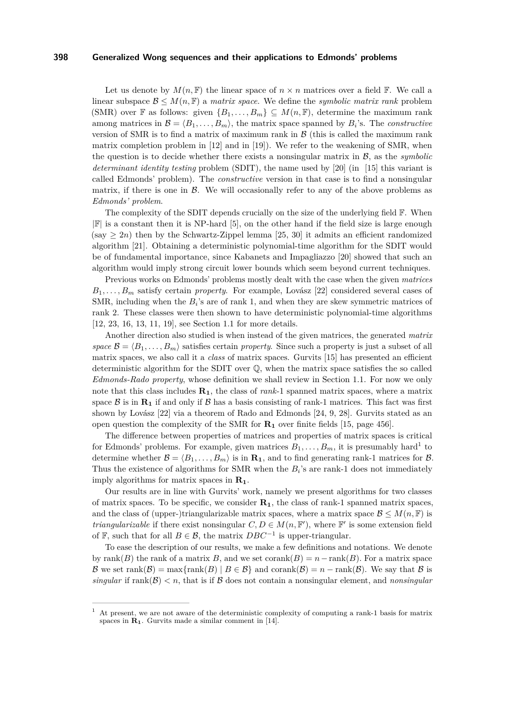Let us denote by  $M(n, \mathbb{F})$  the linear space of  $n \times n$  matrices over a field  $\mathbb{F}$ . We call a linear subspace  $\mathcal{B} \leq M(n, \mathbb{F})$  a *matrix space*. We define the *symbolic matrix rank* problem (SMR) over F as follows: given  $\{B_1, \ldots, B_m\} \subseteq M(n, \mathbb{F})$ , determine the maximum rank among matrices in  $\mathcal{B} = \langle B_1, \ldots, B_m \rangle$ , the matrix space spanned by  $B_i$ 's. The *constructive* version of SMR is to find a matrix of maximum rank in  $\beta$  (this is called the maximum rank matrix completion problem in  $[12]$  and in  $[19]$ . We refer to the weakening of SMR, when the question is to decide whether there exists a nonsingular matrix in  $\mathcal{B}$ , as the *symbolic determinant identity testing* problem (SDIT), the name used by [\[20\]](#page-11-4) (in [\[15\]](#page-11-5) this variant is called Edmonds' problem). The *constructive* version in that case is to find a nonsingular matrix, if there is one in  $\beta$ . We will occasionally refer to any of the above problems as *Edmonds' problem*.

The complexity of the SDIT depends crucially on the size of the underlying field  $\mathbb{F}$ . When  $|\mathbb{F}|$  is a constant then it is NP-hard [\[5\]](#page-10-0), on the other hand if the field size is large enough  $(\text{say } \geq 2n)$  then by the Schwartz-Zippel lemma [\[25,](#page-11-6) [30\]](#page-11-7) it admits an efficient randomized algorithm [\[21\]](#page-11-8). Obtaining a deterministic polynomial-time algorithm for the SDIT would be of fundamental importance, since Kabanets and Impagliazzo [\[20\]](#page-11-4) showed that such an algorithm would imply strong circuit lower bounds which seem beyond current techniques.

Previous works on Edmonds' problems mostly dealt with the case when the given *matrices B*1*, . . . , B<sup>m</sup>* satisfy certain *property*. For example, Lovász [\[22\]](#page-11-9) considered several cases of SMR, including when the  $B_i$ 's are of rank 1, and when they are skew symmetric matrices of rank 2. These classes were then shown to have deterministic polynomial-time algorithms [\[12,](#page-11-2) [23,](#page-11-10) [16,](#page-11-11) [13,](#page-11-12) [11,](#page-11-13) [19\]](#page-11-3), see Section [1.1](#page-2-0) for more details.

Another direction also studied is when instead of the given matrices, the generated *matrix space*  $\mathcal{B} = \langle B_1, \ldots, B_m \rangle$  satisfies certain *property*. Since such a property is just a subset of all matrix spaces, we also call it a *class* of matrix spaces. Gurvits [\[15\]](#page-11-5) has presented an efficient deterministic algorithm for the SDIT over Q, when the matrix space satisfies the so called *Edmonds-Rado property*, whose definition we shall review in Section [1.1.](#page-2-0) For now we only note that this class includes **R1**, the class of *rank*-1 spanned matrix spaces, where a matrix space  $\mathcal{B}$  is in  $\mathbf{R}_1$  if and only if  $\mathcal{B}$  has a basis consisting of rank-1 matrices. This fact was first shown by Lovász [\[22\]](#page-11-9) via a theorem of Rado and Edmonds [\[24,](#page-11-14) [9,](#page-11-15) [28\]](#page-11-16). Gurvits stated as an open question the complexity of the SMR for **R<sup>1</sup>** over finite fields [\[15,](#page-11-5) page 456].

The difference between properties of matrices and properties of matrix spaces is critical for Edmonds' problems. For example, given matrices  $B_1, \ldots, B_m$  $B_1, \ldots, B_m$  $B_1, \ldots, B_m$ , it is presumably hard<sup>1</sup> to determine whether  $\mathcal{B} = \langle B_1, \ldots, B_m \rangle$  is in **R**<sub>1</sub>, and to find generating rank-1 matrices for  $\mathcal{B}$ . Thus the existence of algorithms for SMR when the  $B_i$ 's are rank-1 does not immediately imply algorithms for matrix spaces in **R1**.

Our results are in line with Gurvits' work, namely we present algorithms for two classes of matrix spaces. To be specific, we consider  $\mathbf{R}_1$ , the class of rank-1 spanned matrix spaces, and the class of (upper-)triangularizable matrix spaces, where a matrix space  $\mathcal{B} \leq M(n, \mathbb{F})$  is *triangularizable* if there exist nonsingular  $C, D \in M(n, \mathbb{F}'),$  where  $\mathbb{F}'$  is some extension field of F, such that for all  $B \in \mathcal{B}$ , the matrix  $DBC^{-1}$  is upper-triangular.

To ease the description of our results, we make a few definitions and notations. We denote by rank(*B*) the rank of a matrix *B*, and we set corank(*B*) =  $n - \text{rank}(B)$ . For a matrix space B we set rank $(B)$  = max{rank $(B)$  |  $B \in B$ } and corank $(B)$  = *n* - rank $(B)$ . We say that B is *singular* if  $rank(\mathcal{B}) < n$ , that is if  $\mathcal{B}$  does not contain a nonsingular element, and *nonsingular* 

<span id="page-1-0"></span><sup>1</sup> At present, we are not aware of the deterministic complexity of computing a rank-1 basis for matrix spaces in  $\mathbf{R}_1$ . Gurvits made a similar comment in [\[14\]](#page-11-17).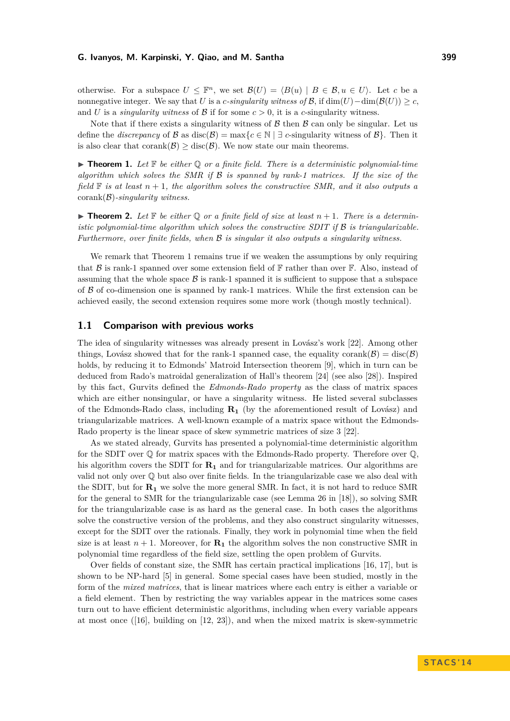otherwise. For a subspace  $U \leq \mathbb{F}^n$ , we set  $\mathcal{B}(U) = \langle B(u) | B \in \mathcal{B}, u \in U \rangle$ . Let *c* be a nonnegative integer. We say that *U* is a *c-singularity witness of*  $\mathcal{B}$ , if  $\dim(U) - \dim(\mathcal{B}(U)) \geq c$ . and *U* is a *singularity witness* of  $\beta$  if for some  $c > 0$ , it is a *c*-singularity witness.

Note that if there exists a singularity witness of  $\beta$  then  $\beta$  can only be singular. Let us define the *discrepancy* of B as disc(B) = max{ $c \in \mathbb{N}$  |  $\exists$  *c*-singularity witness of B}. Then it is also clear that corank $(\mathcal{B})$  > disc( $\mathcal{B}$ ). We now state our main theorems.

<span id="page-2-1"></span>**In Theorem 1.** Let  $\mathbb{F}$  be either  $\mathbb{Q}$  or a finite field. There is a deterministic polynomial-time *algorithm which solves the SMR if* B *is spanned by rank-1 matrices. If the size of the field* F *is at least n* + 1*, the algorithm solves the constructive SMR, and it also outputs a* corank(B)*-singularity witness.*

<span id="page-2-2"></span> $\triangleright$  **Theorem 2.** Let  $\mathbb F$  be either  $\mathbb Q$  or a finite field of size at least  $n+1$ . There is a determin*istic polynomial-time algorithm which solves the constructive SDIT if* B *is triangularizable. Furthermore, over finite fields, when* B *is singular it also outputs a singularity witness.*

We remark that Theorem [1](#page-2-1) remains true if we weaken the assumptions by only requiring that B is rank-1 spanned over some extension field of  $\mathbb F$  rather than over  $\mathbb F$ . Also, instead of assuming that the whole space  $\beta$  is rank-1 spanned it is sufficient to suppose that a subspace of  $\beta$  of co-dimension one is spanned by rank-1 matrices. While the first extension can be achieved easily, the second extension requires some more work (though mostly technical).

## <span id="page-2-0"></span>**1.1 Comparison with previous works**

The idea of singularity witnesses was already present in Lovász's work [\[22\]](#page-11-9). Among other things, Lovász showed that for the rank-1 spanned case, the equality corank( $\mathcal{B}$ ) = disc( $\mathcal{B}$ ) holds, by reducing it to Edmonds' Matroid Intersection theorem [\[9\]](#page-11-15), which in turn can be deduced from Rado's matroidal generalization of Hall's theorem [\[24\]](#page-11-14) (see also [\[28\]](#page-11-16)). Inspired by this fact, Gurvits defined the *Edmonds-Rado property* as the class of matrix spaces which are either nonsingular, or have a singularity witness. He listed several subclasses of the Edmonds-Rado class, including **R<sup>1</sup>** (by the aforementioned result of Lovász) and triangularizable matrices. A well-known example of a matrix space without the Edmonds-Rado property is the linear space of skew symmetric matrices of size 3 [\[22\]](#page-11-9).

As we stated already, Gurvits has presented a polynomial-time deterministic algorithm for the SDIT over Q for matrix spaces with the Edmonds-Rado property. Therefore over Q, his algorithm covers the SDIT for  $\mathbf{R}_1$  and for triangularizable matrices. Our algorithms are valid not only over Q but also over finite fields. In the triangularizable case we also deal with the SDIT, but for  $\mathbf{R}_1$  we solve the more general SMR. In fact, it is not hard to reduce SMR for the general to SMR for the triangularizable case (see Lemma 26 in [\[18\]](#page-11-18)), so solving SMR for the triangularizable case is as hard as the general case. In both cases the algorithms solve the constructive version of the problems, and they also construct singularity witnesses, except for the SDIT over the rationals. Finally, they work in polynomial time when the field size is at least  $n + 1$ . Moreover, for  $\mathbf{R}_1$  the algorithm solves the non constructive SMR in polynomial time regardless of the field size, settling the open problem of Gurvits.

Over fields of constant size, the SMR has certain practical implications [\[16,](#page-11-11) [17\]](#page-11-19), but is shown to be NP-hard [\[5\]](#page-10-0) in general. Some special cases have been studied, mostly in the form of the *mixed matrices*, that is linear matrices where each entry is either a variable or a field element. Then by restricting the way variables appear in the matrices some cases turn out to have efficient deterministic algorithms, including when every variable appears at most once ([\[16\]](#page-11-11), building on [\[12,](#page-11-2) [23\]](#page-11-10)), and when the mixed matrix is skew-symmetric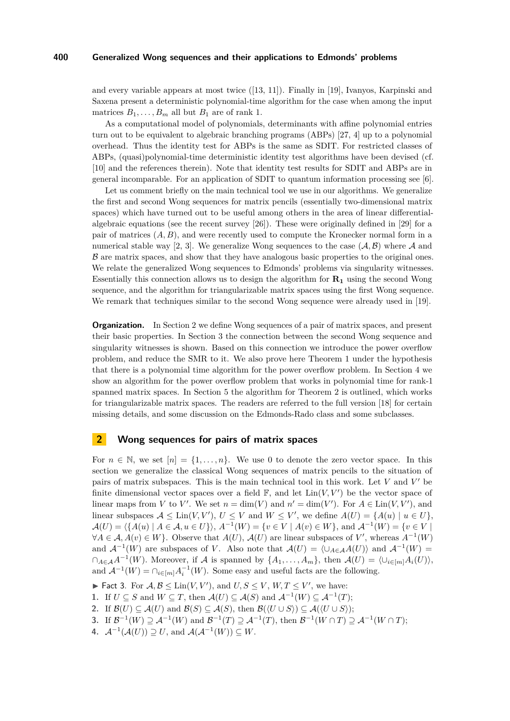and every variable appears at most twice ([\[13,](#page-11-12) [11\]](#page-11-13)). Finally in [\[19\]](#page-11-3), Ivanyos, Karpinski and Saxena present a deterministic polynomial-time algorithm for the case when among the input matrices  $B_1, \ldots, B_m$  all but  $B_1$  are of rank 1.

As a computational model of polynomials, determinants with affine polynomial entries turn out to be equivalent to algebraic branching programs (ABPs) [\[27,](#page-11-20) [4\]](#page-10-1) up to a polynomial overhead. Thus the identity test for ABPs is the same as SDIT. For restricted classes of ABPs, (quasi)polynomial-time deterministic identity test algorithms have been devised (cf. [\[10\]](#page-11-21) and the references therein). Note that identity test results for SDIT and ABPs are in general incomparable. For an application of SDIT to quantum information processing see [\[6\]](#page-10-2).

Let us comment briefly on the main technical tool we use in our algorithms. We generalize the first and second Wong sequences for matrix pencils (essentially two-dimensional matrix spaces) which have turned out to be useful among others in the area of linear differentialalgebraic equations (see the recent survey  $[26]$ ). These were originally defined in  $[29]$  for a pair of matrices (*A, B*), and were recently used to compute the Kronecker normal form in a numerical stable way [\[2,](#page-10-3) [3\]](#page-10-4). We generalize Wong sequences to the case  $(A, B)$  where A and  $\beta$  are matrix spaces, and show that they have analogous basic properties to the original ones. We relate the generalized Wong sequences to Edmonds' problems via singularity witnesses. Essentially this connection allows us to design the algorithm for **R<sup>1</sup>** using the second Wong sequence, and the algorithm for triangularizable matrix spaces using the first Wong sequence. We remark that techniques similar to the second Wong sequence were already used in [\[19\]](#page-11-3).

**Organization.** In Section [2](#page-3-0) we define Wong sequences of a pair of matrix spaces, and present their basic properties. In Section [3](#page-5-0) the connection between the second Wong sequence and singularity witnesses is shown. Based on this connection we introduce the power overflow problem, and reduce the SMR to it. We also prove here Theorem [1](#page-2-1) under the hypothesis that there is a polynomial time algorithm for the power overflow problem. In Section [4](#page-8-0) we show an algorithm for the power overflow problem that works in polynomial time for rank-1 spanned matrix spaces. In Section [5](#page-9-0) the algorithm for Theorem [2](#page-2-2) is outlined, which works for triangularizable matrix spaces. The readers are referred to the full version [\[18\]](#page-11-18) for certain missing details, and some discussion on the Edmonds-Rado class and some subclasses.

# <span id="page-3-0"></span>**2 Wong sequences for pairs of matrix spaces**

For  $n \in \mathbb{N}$ , we set  $[n] = \{1, \ldots, n\}$ . We use 0 to denote the zero vector space. In this section we generalize the classical Wong sequences of matrix pencils to the situation of pairs of matrix subspaces. This is the main technical tool in this work. Let  $V$  and  $V'$  be finite dimensional vector spaces over a field  $\mathbb{F}$ , and let  $\text{Lin}(V, V')$  be the vector space of linear maps from *V* to *V'*. We set  $n = \dim(V)$  and  $n' = \dim(V')$ . For  $A \in \text{Lin}(V, V')$ , and linear subspaces  $A \leq \text{Lin}(V, V'), U \leq V$  and  $W \leq V'$ , we define  $A(U) = \{A(u) \mid u \in U\}$ ,  $\mathcal{A}(U) = \{ \{ A(u) \mid A \in \mathcal{A}, u \in U \} \}, A^{-1}(W) = \{ v \in V \mid A(v) \in W \}, \text{ and } A^{-1}(W) = \{ v \in V \mid A(v) \in W \}$  $\forall A \in \mathcal{A}, A(v) \in W$ . Observe that  $A(U)$ ,  $A(U)$  are linear subspaces of V', whereas  $A^{-1}(W)$ and  $\mathcal{A}^{-1}(W)$  are subspaces of *V*. Also note that  $\mathcal{A}(U) = \langle \cup_{A \in \mathcal{A}} A(U) \rangle$  and  $\mathcal{A}^{-1}(W) =$  $\cap_{A \in \mathcal{A}} A^{-1}(W)$ . Moreover, if A is spanned by  $\{A_1, \ldots, A_m\}$ , then  $\mathcal{A}(U) = \langle \cup_{i \in [m]} A_i(U) \rangle$ , and  $\mathcal{A}^{-1}(W) = \bigcap_{i \in [m]} A_i^{-1}(W)$ . Some easy and useful facts are the following.

- <span id="page-3-1"></span>► Fact 3. For  $A, B \text{ ≤ } \text{Lin}(V, V')$ , and  $U, S \text{ ≤ } V, W, T \text{ ≤ } V'$ , we have:
- **1.** If  $U \subseteq S$  and  $W \subseteq T$ , then  $\mathcal{A}(U) \subseteq \mathcal{A}(S)$  and  $\mathcal{A}^{-1}(W) \subseteq \mathcal{A}^{-1}(T)$ ;
- **2.** If  $\mathcal{B}(U) \subseteq \mathcal{A}(U)$  and  $\mathcal{B}(S) \subseteq \mathcal{A}(S)$ , then  $\mathcal{B}(\langle U \cup S \rangle) \subseteq \mathcal{A}(\langle U \cup S \rangle)$ ;
- **3.** If  $\mathcal{B}^{-1}(W) \supseteq \mathcal{A}^{-1}(W)$  and  $\mathcal{B}^{-1}(T) \supseteq \mathcal{A}^{-1}(T)$ , then  $\mathcal{B}^{-1}(W \cap T) \supseteq \mathcal{A}^{-1}(W \cap T)$ ;
- 4.  $\mathcal{A}^{-1}(\mathcal{A}(U)) \supseteq U$ , and  $\mathcal{A}(\mathcal{A}^{-1}(W)) \subseteq W$ .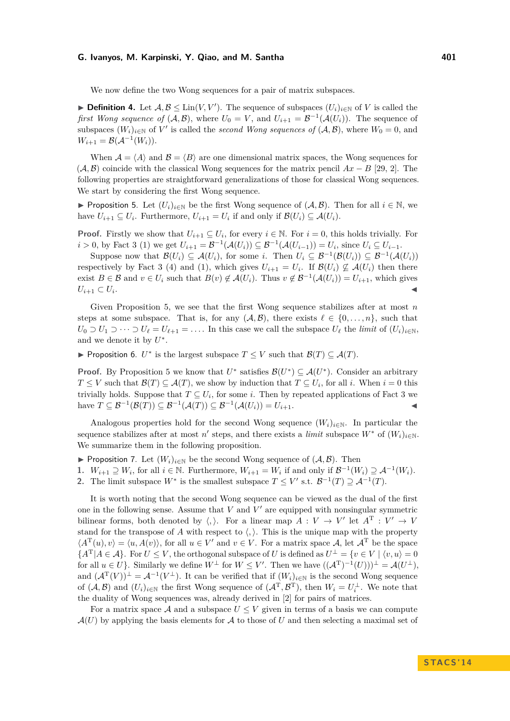We now define the two Wong sequences for a pair of matrix subspaces.

▶ **Definition 4.** Let  $A, B \leq \text{Lin}(V, V')$ . The sequence of subspaces  $(U_i)_{i \in \mathbb{N}}$  of *V* is called the *first Wong sequence of*  $(A, B)$ , where  $U_0 = V$ , and  $U_{i+1} = \mathcal{B}^{-1}(A(U_i))$ . The sequence of subspaces  $(W_i)_{i \in \mathbb{N}}$  of  $V'$  is called the *second Wong sequences of*  $(A, \mathcal{B})$ , where  $W_0 = 0$ , and  $W_{i+1} = \mathcal{B}(\mathcal{A}^{-1}(W_i)).$ 

When  $A = \langle A \rangle$  and  $B = \langle B \rangle$  are one dimensional matrix spaces, the Wong sequences for  $(\mathcal{A}, \mathcal{B})$  coincide with the classical Wong sequences for the matrix pencil  $Ax - B$  [\[29,](#page-11-23) [2\]](#page-10-3). The following properties are straightforward generalizations of those for classical Wong sequences. We start by considering the first Wong sequence.

<span id="page-4-0"></span>**► Proposition 5.** Let  $(U_i)_{i\in\mathbb{N}}$  be the first Wong sequence of  $(A, B)$ . Then for all  $i \in \mathbb{N}$ , we have  $U_{i+1} \subseteq U_i$ . Furthermore,  $U_{i+1} = U_i$  if and only if  $\mathcal{B}(U_i) \subseteq \mathcal{A}(U_i)$ .

**Proof.** Firstly we show that  $U_{i+1} \subseteq U_i$ , for every  $i \in \mathbb{N}$ . For  $i = 0$ , this holds trivially. For *i* > 0, by Fact [3](#page-3-1) (1) we get  $U_{i+1} = \mathcal{B}^{-1}(\mathcal{A}(U_i)) \subseteq \mathcal{B}^{-1}(\mathcal{A}(U_{i-1})) = U_i$ , since  $U_i \subseteq U_{i-1}$ .

Suppose now that  $\mathcal{B}(U_i) \subseteq \mathcal{A}(U_i)$ , for some *i*. Then  $U_i \subseteq \mathcal{B}^{-1}(\mathcal{B}(U_i)) \subseteq \mathcal{B}^{-1}(\mathcal{A}(U_i))$ respectively by Fact [3](#page-3-1) (4) and (1), which gives  $U_{i+1} = U_i$ . If  $\mathcal{B}(U_i) \nsubseteq \mathcal{A}(U_i)$  then there exist  $B \in \mathcal{B}$  and  $v \in U_i$  such that  $B(v) \notin \mathcal{A}(U_i)$ . Thus  $v \notin \mathcal{B}^{-1}(\mathcal{A}(U_i)) = U_{i+1}$ , which gives  $U_{i+1} \subset U_i$ . . January 1980, January 2001, January 2002, January 2003, January 2003, January 2003, January 2003, January 20<br>January 2003, January 2003, January 2003, January 2003, January 2003, January 2003, January 2003, January 2003

Given Proposition [5,](#page-4-0) we see that the first Wong sequence stabilizes after at most *n* steps at some subspace. That is, for any  $(A, B)$ , there exists  $\ell \in \{0, \ldots, n\}$ , such that *U*<sub>0</sub> ⊃ *U*<sub>1</sub> ⊃ · · · ⊃ *U*<sub> $\ell$ </sub> = *U*<sub> $\ell+1$ </sub> = .... In this case we call the subspace *U*<sub> $\ell$ </sub> the *limit* of  $(U_i)_{i \in \mathbb{N}}$ , and we denote it by  $U^*$ .

► Proposition 6. *U*<sup>\*</sup> is the largest subspace  $T \leq V$  such that  $\mathcal{B}(T) \subseteq \mathcal{A}(T)$ .

**Proof.** By Proposition [5](#page-4-0) we know that  $U^*$  satisfies  $\mathcal{B}(U^*) \subseteq \mathcal{A}(U^*)$ . Consider an arbitrary  $T \leq V$  such that  $\mathcal{B}(T) \subseteq \mathcal{A}(T)$ , we show by induction that  $T \subseteq U_i$ , for all *i*. When  $i = 0$  this trivially holds. Suppose that  $T \subseteq U_i$ , for some *i*. Then by repeated applications of Fact [3](#page-3-1) we have  $T \subseteq \mathcal{B}^{-1}(\mathcal{B}(T)) \subseteq \mathcal{B}^{-1}(\mathcal{A}(T)) \subseteq \mathcal{B}^{-1}(\mathcal{A}(U_i)) = U_{i+1}$ . ◀

Analogous properties hold for the second Wong sequence  $(W_i)_{i\in\mathbb{N}}$ . In particular the sequence stabilizes after at most *n*' steps, and there exists a *limit* subspace  $W^*$  of  $(W_i)_{i \in \mathbb{N}}$ . We summarize them in the following proposition.

**► Proposition 7.** Let  $(W_i)_{i \in \mathbb{N}}$  be the second Wong sequence of  $(A, \mathcal{B})$ . Then

**1.**  $W_{i+1} \supseteq W_i$ , for all  $i \in \mathbb{N}$ . Furthermore,  $W_{i+1} = W_i$  if and only if  $\mathcal{B}^{-1}(W_i) \supseteq \mathcal{A}^{-1}(W_i)$ .

2. The limit subspace  $W^*$  is the smallest subspace  $T \leq V'$  s.t.  $\mathcal{B}^{-1}(T) \supseteq \mathcal{A}^{-1}(T)$ .

It is worth noting that the second Wong sequence can be viewed as the dual of the first one in the following sense. Assume that  $V$  and  $V'$  are equipped with nonsingular symmetric bilinear forms, both denoted by  $\langle , \rangle$ . For a linear map  $A: V \to V'$  let  $A^T: V' \to V$ stand for the transpose of *A* with respect to  $\langle, \rangle$ . This is the unique map with the property  $\langle A^{\mathrm{T}}(u), v \rangle = \langle u, A(v) \rangle$ , for all  $u \in V'$  and  $v \in V$ . For a matrix space A, let  $A^{\mathrm{T}}$  be the space  ${A^T | A \in \mathcal{A}}$ . For  $U \leq V$ , the orthogonal subspace of *U* is defined as  $U^{\perp} = \{v \in V \mid \langle v, u \rangle = 0\}$ for all  $u \in U$ }. Similarly we define  $W^{\perp}$  for  $W \leq V'$ . Then we have  $((A^{T})^{-1}(U)))^{\perp} = \mathcal{A}(U^{\perp}),$ and  $(\mathcal{A}^{\mathrm{T}}(V))^{\perp} = \mathcal{A}^{-1}(V^{\perp})$ . It can be verified that if  $(W_i)_{i \in \mathbb{N}}$  is the second Wong sequence of  $(A, B)$  and  $(U_i)_{i \in \mathbb{N}}$  the first Wong sequence of  $(A^T, B^T)$ , then  $W_i = U_i^{\perp}$ . We note that the duality of Wong sequences was, already derived in [\[2\]](#page-10-3) for pairs of matrices.

For a matrix space A and a subspace  $U \leq V$  given in terms of a basis we can compute  $\mathcal{A}(U)$  by applying the basis elements for  $\mathcal A$  to those of  $U$  and then selecting a maximal set of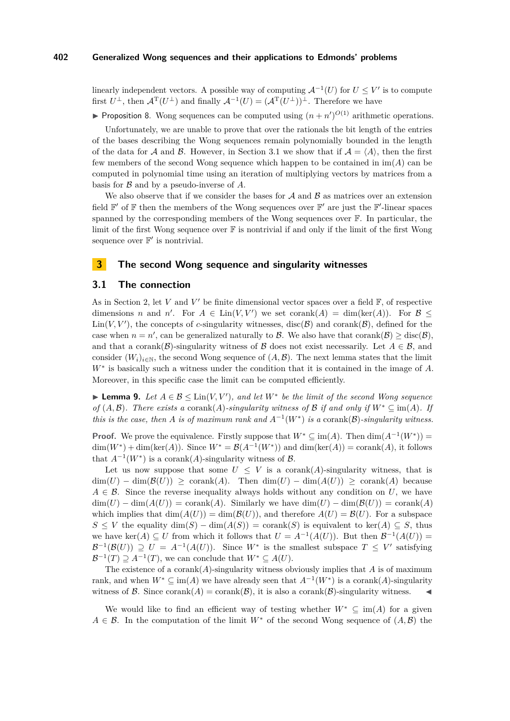linearly independent vectors. A possible way of computing  $\mathcal{A}^{-1}(U)$  for  $U \leq V'$  is to compute first  $U^{\perp}$ , then  $\mathcal{A}^{\mathrm{T}}(U^{\perp})$  and finally  $\mathcal{A}^{-1}(U) = (\mathcal{A}^{\mathrm{T}}(U^{\perp}))^{\perp}$ . Therefore we have

**Proposition 8.** Wong sequences can be computed using  $(n + n')^{O(1)}$  arithmetic operations.

Unfortunately, we are unable to prove that over the rationals the bit length of the entries of the bases describing the Wong sequences remain polynomially bounded in the length of the data for A and B. However, in Section [3.1](#page-5-1) we show that if  $A = \langle A \rangle$ , then the first few members of the second Wong sequence which happen to be contained in im(*A*) can be computed in polynomial time using an iteration of multiplying vectors by matrices from a basis for B and by a pseudo-inverse of *A*.

We also observe that if we consider the bases for  $A$  and  $B$  as matrices over an extension field  $\mathbb{F}'$  of  $\mathbb F$  then the members of the Wong sequences over  $\mathbb F'$  are just the  $\mathbb F'$ -linear spaces spanned by the corresponding members of the Wong sequences over F. In particular, the limit of the first Wong sequence over F is nontrivial if and only if the limit of the first Wong sequence over  $\mathbb{F}'$  is nontrivial.

# <span id="page-5-0"></span>**3 The second Wong sequence and singularity witnesses**

# <span id="page-5-1"></span>**3.1 The connection**

As in Section [2,](#page-3-0) let  $V$  and  $V'$  be finite dimensional vector spaces over a field  $\mathbb{F}$ , of respective dimensions *n* and *n'*. For  $A \in \text{Lin}(V, V')$  we set corank $(A) = \dim(\ker(A))$ . For  $B \le$  $\text{Lin}(V, V')$ , the concepts of *c*-singularity witnesses, disc( $\mathcal{B}$ ) and corank( $\mathcal{B}$ ), defined for the case when  $n = n'$ , can be generalized naturally to B. We also have that corank(B)  $\geq$  disc(B), and that a corank( $\mathcal{B}$ )-singularity witness of  $\mathcal{B}$  does not exist necessarily. Let  $A \in \mathcal{B}$ , and consider  $(W_i)_{i\in\mathbb{N}}$ , the second Wong sequence of  $(A,\mathcal{B})$ . The next lemma states that the limit *W*<sup>∗</sup> is basically such a witness under the condition that it is contained in the image of *A*. Moreover, in this specific case the limit can be computed efficiently.

<span id="page-5-2"></span>**► Lemma 9.** Let  $A \in \mathcal{B} \leq \text{Lin}(V, V')$ , and let  $W^*$  be the limit of the second Wong sequence *of*  $(A, \mathcal{B})$ *. There exists a* corank $(A)$ *-singularity witness of*  $\mathcal{B}$  *if and only if*  $W^* \subseteq \text{im}(A)$ *. If this is the case, then A is of maximum rank and*  $A^{-1}(W^*)$  *is a* corank $(\mathcal{B})$ *-singularity witness.* 

**Proof.** We prove the equivalence. Firstly suppose that  $W^* \subseteq \text{im}(A)$ . Then  $\dim(A^{-1}(W^*))$  $\dim(W^*) + \dim(\ker(A))$ . Since  $W^* = \mathcal{B}(A^{-1}(W^*))$  and  $\dim(\ker(A)) = \text{corank}(A)$ , it follows that  $A^{-1}(W^*)$  is a corank(A)-singularity witness of  $\mathcal{B}$ .

Let us now suppose that some  $U \leq V$  is a corank(*A*)-singularity witness, that is  $\dim(U) - \dim(\mathcal{B}(U)) \geq \text{corank}(A)$ . Then  $\dim(U) - \dim(A(U)) \geq \text{corank}(A)$  because  $A \in \mathcal{B}$ . Since the reverse inequality always holds without any condition on U, we have  $\dim(U) - \dim(A(U)) = \text{corank}(A)$ . Similarly we have  $\dim(U) - \dim(B(U)) = \text{corank}(A)$ which implies that  $\dim(A(U)) = \dim(B(U))$ , and therefore  $A(U) = B(U)$ . For a subspace *S* ≤ *V* the equality dim(*S*) − dim(*A*(*S*)) = corank(*S*) is equivalent to ker(*A*) ⊂ *S*, thus we have  $\ker(A) \subseteq U$  from which it follows that  $U = A^{-1}(A(U))$ . But then  $\mathcal{B}^{-1}(A(U)) =$  $\mathcal{B}^{-1}(\mathcal{B}(U)) \supseteq U = A^{-1}(A(U)).$  Since  $W^*$  is the smallest subspace  $T \leq V'$  satisfying  $\mathcal{B}^{-1}(T) \supseteq A^{-1}(T)$ , we can conclude that  $W^* \subseteq A(U)$ .

The existence of a corank $(A)$ -singularity witness obviously implies that  $A$  is of maximum rank, and when  $W^* \subseteq \text{im}(A)$  we have already seen that  $A^{-1}(W^*)$  is a corank(A)-singularity witness of B. Since corank(A) = corank(B), it is also a corank(B)-singularity witness.

We would like to find an efficient way of testing whether  $W^* \subseteq \text{im}(A)$  for a given  $A \in \mathcal{B}$ . In the computation of the limit  $W^*$  of the second Wong sequence of  $(A, \mathcal{B})$  the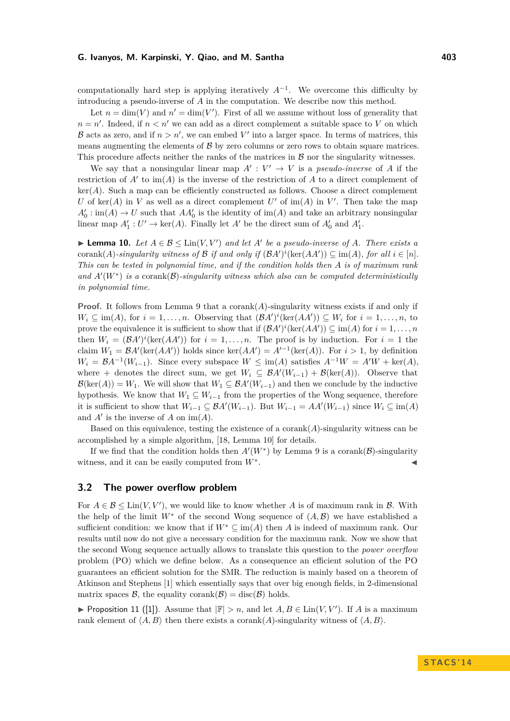computationally hard step is applying iteratively  $A^{-1}$ . We overcome this difficulty by introducing a pseudo-inverse of *A* in the computation. We describe now this method.

Let  $n = \dim(V)$  and  $n' = \dim(V')$ . First of all we assume without loss of generality that  $n = n'$ . Indeed, if  $n < n'$  we can add as a direct complement a suitable space to *V* on which B acts as zero, and if  $n > n'$ , we can embed V' into a larger space. In terms of matrices, this means augmenting the elements of  $\beta$  by zero columns or zero rows to obtain square matrices. This procedure affects neither the ranks of the matrices in  $\beta$  nor the singularity witnesses.

We say that a nonsingular linear map  $A' : V' \to V$  is a *pseudo-inverse* of A if the restriction of  $A'$  to  $\text{im}(A)$  is the inverse of the restriction of  $A$  to a direct complement of  $ker(A)$ . Such a map can be efficiently constructed as follows. Choose a direct complement *U* of ker(*A*) in *V* as well as a direct complement *U*' of im(*A*) in *V*'. Then take the map  $A'_0$ : im(*A*)  $\rightarrow$  *U* such that  $AA'_0$  is the identity of im(*A*) and take an arbitrary nonsingular linear map  $A'_1: U' \to \text{ker}(A)$ . Finally let  $A'$  be the direct sum of  $A'_0$  and  $A'_1$ .

<span id="page-6-0"></span>**► Lemma 10.** Let  $A \in \mathcal{B} \leq \text{Lin}(V, V')$  and let  $A'$  be a pseudo-inverse of  $A$ *. There exists a* corank(*A*)*-singularity witness of*  $\mathcal{B}$  *if and only if*  $(\mathcal{B}A')^i(\text{ker}(AA')) \subseteq \text{im}(A)$ *, for all*  $i \in [n]$ *. This can be tested in polynomial time, and if the condition holds then A is of maximum rank* and  $A'(W^*)$  is a corank $(B)$ -singularity witness which also can be computed deterministically *in polynomial time.*

**Proof.** It follows from Lemma [9](#page-5-2) that a corank( $A$ )-singularity witness exists if and only if  $W_i \subseteq \text{im}(A)$ , for  $i = 1, \ldots, n$ . Observing that  $(\mathcal{B}A')^i(\text{ker}(AA')) \subseteq W_i$  for  $i = 1, \ldots, n$ , to prove the equivalence it is sufficient to show that if  $(BA')^i(\ker(AA')) \subseteq \text{im}(A)$  for  $i = 1, ..., n$ then  $W_i = (\mathcal{B}A')^i(\ker(AA'))$  for  $i = 1, \ldots, n$ . The proof is by induction. For  $i = 1$  the claim  $W_1 = \mathcal{B}A'(\text{ker}(AA'))$  holds since  $\text{ker}(AA') = A'^{-1}(\text{ker}(A))$ . For  $i > 1$ , by definition  $W_i = \mathcal{B}A^{-1}(W_{i-1})$ . Since every subspace  $W \leq \text{im}(A)$  satisfies  $A^{-1}W = A'W + \text{ker}(A)$ , where + denotes the direct sum, we get  $W_i \subseteq \mathcal{B}A'(W_{i-1}) + \mathcal{B}(\ker(A))$ . Observe that  $\mathcal{B}(\ker(A)) = W_1$ . We will show that  $W_1 \subseteq \mathcal{B}A'(W_{i-1})$  and then we conclude by the inductive hypothesis. We know that  $W_1 \subseteq W_{i-1}$  from the properties of the Wong sequence, therefore it is sufficient to show that  $W_{i-1} \subseteq \mathcal{B}A'(W_{i-1})$ . But  $W_{i-1} = AA'(W_{i-1})$  since  $W_i \subseteq \text{im}(A)$ and  $A'$  is the inverse of  $A$  on  $\text{im}(A)$ .

Based on this equivalence, testing the existence of a corank(*A*)-singularity witness can be accomplished by a simple algorithm, [\[18,](#page-11-18) Lemma 10] for details.

If we find that the condition holds then  $A'(W^*)$  by Lemma [9](#page-5-2) is a corank( $\mathcal{B}$ )-singularity witness, and it can be easily computed from *W*<sup>∗</sup> . J

# **3.2 The power overflow problem**

For  $A \in \mathcal{B} \leq \text{Lin}(V, V')$ , we would like to know whether *A* is of maximum rank in *B*. With the help of the limit  $W^*$  of the second Wong sequence of  $(A, \mathcal{B})$  we have established a sufficient condition: we know that if  $W^* \subseteq \text{im}(A)$  then A is indeed of maximum rank. Our results until now do not give a necessary condition for the maximum rank. Now we show that the second Wong sequence actually allows to translate this question to the *power overflow* problem (PO) which we define below. As a consequence an efficient solution of the PO guarantees an efficient solution for the SMR. The reduction is mainly based on a theorem of Atkinson and Stephens [\[1\]](#page-10-5) which essentially says that over big enough fields, in 2-dimensional matrix spaces  $\mathcal{B}$ , the equality corank( $\mathcal{B}$ ) = disc( $\mathcal{B}$ ) holds.

<span id="page-6-1"></span>▶ Proposition 11 ([\[1\]](#page-10-5)). Assume that  $|\mathbb{F}| > n$ , and let  $A, B \in \text{Lin}(V, V')$ . If *A* is a maximum rank element of  $\langle A, B \rangle$  then there exists a corank(*A*)-singularity witness of  $\langle A, B \rangle$ .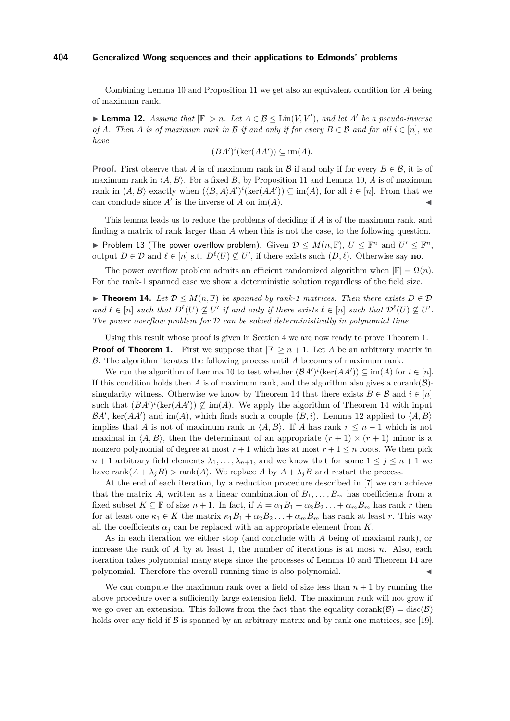Combining Lemma [10](#page-6-0) and Proposition [11](#page-6-1) we get also an equivalent condition for *A* being of maximum rank.

<span id="page-7-1"></span>**► Lemma 12.** *Assume that*  $|\mathbb{F}| > n$ *. Let*  $A \in \mathcal{B} \leq \text{Lin}(V, V')$ *, and let*  $A'$  *be a pseudo-inverse of A.* Then *A is of maximum rank in*  $\mathcal{B}$  *if and only if for every*  $B \in \mathcal{B}$  *and for all*  $i \in [n]$ *, we have*

$$
(BA')^i(\ker(AA')) \subseteq \text{im}(A).
$$

**Proof.** First observe that *A* is of maximum rank in B if and only if for every  $B \in \mathcal{B}$ , it is of maximum rank in  $\langle A, B \rangle$ . For a fixed *B*, by Proposition [11](#page-6-1) and Lemma [10,](#page-6-0) *A* is of maximum rank in  $\langle A, B \rangle$  exactly when  $(\langle B, A \rangle A')^i(\text{ker}(AA')) \subseteq \text{im}(A)$ , for all  $i \in [n]$ . From that we can conclude since  $A'$  is the inverse of  $A$  on im( $A$ ).

This lemma leads us to reduce the problems of deciding if *A* is of the maximum rank, and finding a matrix of rank larger than *A* when this is not the case, to the following question. ▶ Problem 13 (The power overflow problem). Given  $\mathcal{D} \leq M(n, \mathbb{F})$ ,  $U \leq \mathbb{F}^n$  and  $U' \leq \mathbb{F}^n$ , output  $D \in \mathcal{D}$  and  $\ell \in [n]$  s.t.  $D^{\ell}(U) \nsubseteq U'$ , if there exists such  $(D, \ell)$ . Otherwise say **no**.

The power overflow problem admits an efficient randomized algorithm when  $|\mathbb{F}| = \Omega(n)$ . For the rank-1 spanned case we show a deterministic solution regardless of the field size.

<span id="page-7-0"></span>**► Theorem 14.** Let  $\mathcal{D} \leq M(n, \mathbb{F})$  be spanned by rank-1 matrices. Then there exists  $D \in \mathcal{D}$ *and*  $\ell \in [n]$  *such that*  $D^{\ell}(U) \nsubseteq U'$  *if and only if there exists*  $\ell \in [n]$  *such that*  $D^{\ell}(U) \nsubseteq U'$ . *The power overflow problem for* D *can be solved deterministically in polynomial time.*

Using this result whose proof is given in Section [4](#page-8-0) we are now ready to prove Theorem [1.](#page-2-1) **Proof of Theorem [1.](#page-2-1)** First we suppose that  $|\mathbb{F}| \ge n + 1$ . Let A be an arbitrary matrix in B. The algorithm iterates the following process until *A* becomes of maximum rank.

We run the algorithm of Lemma [10](#page-6-0) to test whether  $(BA')^i(\ker(AA')) \subseteq \text{im}(A)$  for  $i \in [n]$ . If this condition holds then *A* is of maximum rank, and the algorithm also gives a corank( $\beta$ )-singularity witness. Otherwise we know by Theorem [14](#page-7-0) that there exists  $B \in \mathcal{B}$  and  $i \in [n]$ such that  $(BA')^i(\ker(AA')) \nsubseteq \text{im}(A)$ . We apply the algorithm of Theorem [14](#page-7-0) with input  $\mathcal{B}A'$ , ker( $AA'$ ) and im( $A$ ), which finds such a couple  $(B, i)$ . Lemma [12](#page-7-1) applied to  $\langle A, B \rangle$ implies that *A* is not of maximum rank in  $\langle A, B \rangle$ . If *A* has rank  $r \leq n-1$  which is not maximal in  $\langle A, B \rangle$ , then the determinant of an appropriate  $(r + 1) \times (r + 1)$  minor is a nonzero polynomial of degree at most  $r + 1$  which has at most  $r + 1 \leq n$  roots. We then pick *n* + 1 arbitrary field elements  $\lambda_1, \ldots, \lambda_{n+1}$ , and we know that for some  $1 \leq j \leq n+1$  we have rank $(A + \lambda_j B)$  > rank $(A)$ . We replace *A* by  $A + \lambda_j B$  and restart the process.

At the end of each iteration, by a reduction procedure described in [\[7\]](#page-10-6) we can achieve that the matrix *A*, written as a linear combination of  $B_1, \ldots, B_m$  has coefficients from a fixed subset  $K \subseteq \mathbb{F}$  of size  $n + 1$ . In fact, if  $A = \alpha_1 B_1 + \alpha_2 B_2 \ldots + \alpha_m B_m$  has rank r then for at least one  $\kappa_1 \in K$  the matrix  $\kappa_1 B_1 + \alpha_2 B_2 \ldots + \alpha_m B_m$  has rank at least *r*. This way all the coefficients  $\alpha_j$  can be replaced with an appropriate element from *K*.

As in each iteration we either stop (and conclude with *A* being of maxiaml rank), or increase the rank of *A* by at least 1, the number of iterations is at most *n*. Also, each iteration takes polynomial many steps since the processes of Lemma [10](#page-6-0) and Theorem [14](#page-7-0) are polynomial. Therefore the overall running time is also polynomial.

We can compute the maximum rank over a field of size less than  $n + 1$  by running the above procedure over a sufficiently large extension field. The maximum rank will not grow if we go over an extension. This follows from the fact that the equality corank( $\mathcal{B}$ ) = disc( $\mathcal{B}$ ) holds over any field if  $\beta$  is spanned by an arbitrary matrix and by rank one matrices, see [\[19\]](#page-11-3).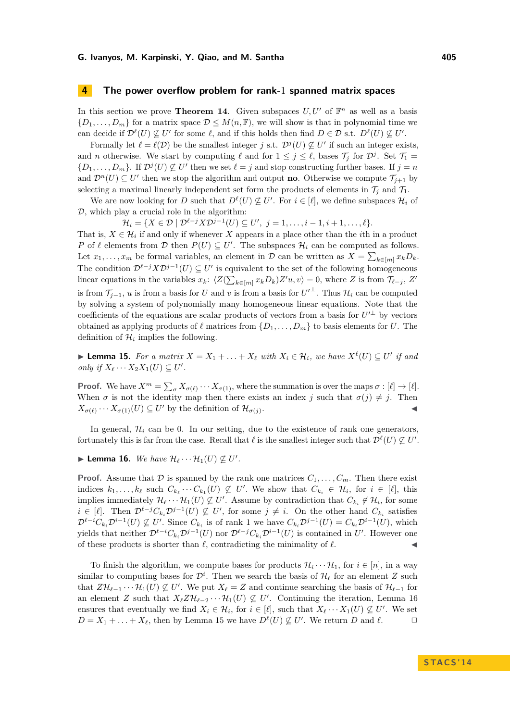# <span id="page-8-0"></span>**4 The power overflow problem for rank-**1 **spanned matrix spaces**

In this section we prove **Theorem [14](#page-7-0)**. Given subspaces  $U, U'$  of  $\mathbb{F}^n$  as well as a basis  ${D_1, \ldots, D_m}$  for a matrix space  $D \leq M(n, \mathbb{F})$ , we will show is that in polynomial time we can decide if  $\mathcal{D}^{\ell}(U) \nsubseteq U'$  for some  $\ell$ , and if this holds then find  $D \in \mathcal{D}$  s.t.  $D^{\ell}(U) \nsubseteq U'$ .

Formally let  $\ell = \ell(\mathcal{D})$  be the smallest integer *j* s.t.  $\mathcal{D}^j(U) \nsubseteq U'$  if such an integer exists, and *n* otherwise. We start by computing  $\ell$  and for  $1 \leq j \leq \ell$ , bases  $\mathcal{T}_j$  for  $\mathcal{D}^j$ . Set  $\mathcal{T}_1$  =  $\{D_1, \ldots, D_m\}$ . If  $\mathcal{D}^j(U) \not\subseteq U'$  then we set  $\ell = j$  and stop constructing further bases. If  $j = n$ and  $\mathcal{D}^n(U) \subseteq U'$  then we stop the algorithm and output **no**. Otherwise we compute  $\mathcal{T}_{j+1}$  by selecting a maximal linearly independent set form the products of elements in  $\mathcal{T}_i$  and  $\mathcal{T}_1$ .

We are now looking for *D* such that  $D^{\ell}(U) \nsubseteq U'$ . For  $i \in [\ell]$ , we define subspaces  $\mathcal{H}_i$  of  $D$ , which play a crucial role in the algorithm:

 $\mathcal{H}_i = \{ X \in \mathcal{D} \mid \mathcal{D}^{\ell-j} X \mathcal{D}^{j-1}(U) \subseteq U', \ j = 1, \ldots, i-1, i+1, \ldots, \ell \}.$ 

That is,  $X \in \mathcal{H}_i$  if and only if whenever X appears in a place other than the *i*th in a product *P* of  $\ell$  elements from  $\mathcal{D}$  then  $P(U) \subseteq U'$ . The subspaces  $\mathcal{H}_i$  can be computed as follows. Let  $x_1, \ldots, x_m$  be formal variables, an element in  $\mathcal{D}$  can be written as  $X = \sum_{k \in [m]} x_k D_k$ . The condition  $\mathcal{D}^{\ell-j}X\mathcal{D}^{j-1}(U) \subseteq U'$  is equivalent to the set of the following homogeneous linear equations in the variables  $x_k$ :  $\langle Z(\sum_{k \in [m]} x_k D_k) Z' u, v \rangle = 0$ , where *Z* is from  $\mathcal{T}_{\ell-j}$ ,  $Z'$ is from  $\mathcal{T}_{j-1}$ , *u* is from a basis for *U* and *v* is from a basis for  $U'^{\perp}$ . Thus  $\mathcal{H}_i$  can be computed by solving a system of polynomially many homogeneous linear equations. Note that the coefficients of the equations are scalar products of vectors from a basis for  $U'^{\perp}$  by vectors obtained as applying products of  $\ell$  matrices from  $\{D_1, \ldots, D_m\}$  to basis elements for *U*. The definition of  $\mathcal{H}_i$  implies the following.

<span id="page-8-2"></span>▶ **Lemma 15.** For a matrix  $X = X_1 + \ldots + X_\ell$  with  $X_i \in \mathcal{H}_i$ , we have  $X^\ell(U) \subseteq U'$  if and *only if*  $X_{\ell} \cdots X_2 X_1(U) \subseteq U'$ .

**Proof.** We have  $X^m = \sum_{\sigma} X_{\sigma(\ell)} \cdots X_{\sigma(1)}$ , where the summation is over the maps  $\sigma : [\ell] \to [\ell]$ . When  $\sigma$  is not the identity map then there exists an index *j* such that  $\sigma(j) \neq j$ . Then  $X_{\sigma(\ell)} \cdots X_{\sigma(1)}(U) \subseteq U'$  by the definition of  $\mathcal{H}_{\sigma(j)}$ . John Stein Stein Stein Stein Stein Stein Stein Stein Stein Stein Stein Stein Stein Stein Stein Stein Stein S<br>Die Stein Stein Stein Stein Stein Stein Stein Stein Stein Stein Stein Stein Stein Stein Stein Stein Stein Stei

In general,  $\mathcal{H}_i$  can be 0. In our setting, due to the existence of rank one generators, fortunately this is far from the case. Recall that  $\ell$  is the smallest integer such that  $\mathcal{D}^{\ell}(U) \nsubseteq U'$ .

# <span id="page-8-1"></span> $\blacktriangleright$  **Lemma 16.** We have  $\mathcal{H}_{\ell} \cdots \mathcal{H}_1(U) \not\subseteq U'.$

**Proof.** Assume that  $D$  is spanned by the rank one matrices  $C_1, \ldots, C_m$ . Then there exist indices  $k_1, \ldots, k_\ell$  such  $C_{k_\ell} \cdots C_{k_1}(U) \not\subseteq U'$ . We show that  $C_{k_i} \in \mathcal{H}_i$ , for  $i \in [\ell]$ , this implies immediately  $\mathcal{H}_{\ell} \cdots \mathcal{H}_1(U) \not\subseteq U'$ . Assume by contradiction that  $C_{k_i} \notin \mathcal{H}_i$ , for some *i* ∈ [ $\ell$ ]. Then  $\mathcal{D}^{\ell-j}C_{k_i}\mathcal{D}^{j-1}(U) \nsubseteq U'$ , for some  $j \neq i$ . On the other hand  $C_{k_i}$  satisfies  $\mathcal{D}^{\ell-i}C_{k_i}\mathcal{D}^{i-1}(U) \nsubseteq U'$ . Since  $C_{k_i}$  is of rank 1 we have  $C_{k_i}\mathcal{D}^{j-1}(U) = C_{k_i}\mathcal{D}^{i-1}(U)$ , which yields that neither  $\mathcal{D}^{\ell-i}C_{k_i}\mathcal{D}^{j-1}(U)$  nor  $\mathcal{D}^{\ell-j}C_{k_i}\mathcal{D}^{i-1}(U)$  is contained in  $U'$ . However one of these products is shorter than  $\ell$ , contradicting the minimality of  $\ell$ .

To finish the algorithm, we compute bases for products  $\mathcal{H}_i \cdots \mathcal{H}_1$ , for  $i \in [n]$ , in a way similar to computing bases for  $\mathcal{D}^i$ . Then we search the basis of  $\mathcal{H}_\ell$  for an element *Z* such that  $Z\mathcal{H}_{\ell-1} \cdots \mathcal{H}_1(U) \not\subseteq U'$ . We put  $X_{\ell} = Z$  and continue searching the basis of  $\mathcal{H}_{\ell-1}$  for an element *Z* such that  $X_{\ell}Z\mathcal{H}_{\ell-2}\cdots\mathcal{H}_1(U) \nsubseteq U'$ . Continuing the iteration, Lemma [16](#page-8-1) ensures that eventually we find  $X_i \in \mathcal{H}_i$ , for  $i \in [\ell]$ , such that  $X_{\ell} \cdots X_1(U) \nsubseteq U'$ . We set  $D = X_1 + \ldots + X_\ell$ , then by Lemma [15](#page-8-2) we have  $D^\ell(U) \not\subseteq U'$ . We return *D* and  $\ell$ .  $\Box$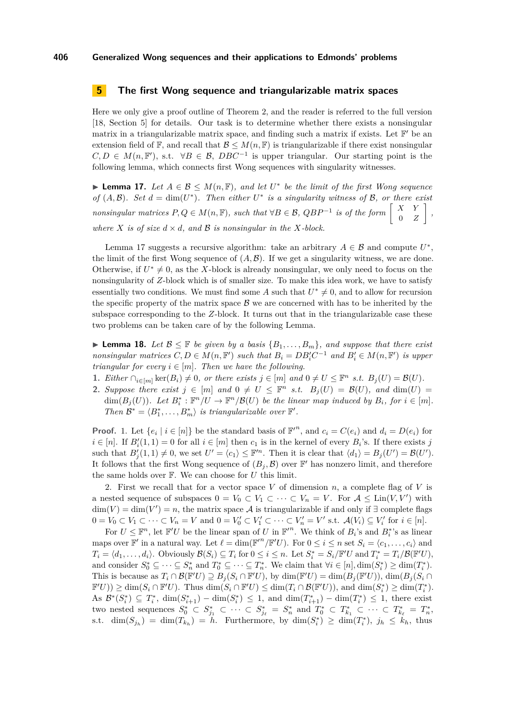# <span id="page-9-0"></span>**5 The first Wong sequence and triangularizable matrix spaces**

Here we only give a proof outline of Theorem [2,](#page-2-2) and the reader is referred to the full version [\[18,](#page-11-18) Section 5] for details. Our task is to determine whether there exists a nonsingular matrix in a triangularizable matrix space, and finding such a matrix if exists. Let  $\mathbb{F}'$  be an extension field of  $\mathbb{F}$ , and recall that  $\mathcal{B} \leq M(n, \mathbb{F})$  is triangularizable if there exist nonsingular  $C, D \in M(n, \mathbb{F}')$ , s.t.  $\forall B \in \mathcal{B}, DBC^{-1}$  is upper triangular. Our starting point is the following lemma, which connects first Wong sequences with singularity witnesses.

<span id="page-9-1"></span>**► Lemma 17.** Let  $A \in \mathcal{B} \leq M(n, \mathbb{F})$ , and let  $U^*$  be the limit of the first Wong sequence *of*  $(A, \mathcal{B})$ *. Set*  $d = \dim(U^*)$ *. Then either*  $U^*$  *is a singularity witness of*  $\mathcal{B}$ *, or there exist nonsingular matrices*  $P, Q \in M(n, \mathbb{F})$ *, such that*  $\forall B \in \mathcal{B}, QBP^{-1}$  *is of the form*  $\begin{bmatrix} X & Y \ 0 & Z \end{bmatrix}$ 0 *Z , where*  $X$  *is of size*  $d \times d$ *, and*  $B$  *is nonsingular in the*  $X$ *-block.* 

Lemma [17](#page-9-1) suggests a recursive algorithm: take an arbitrary  $A \in \mathcal{B}$  and compute  $U^*$ , the limit of the first Wong sequence of  $(A, \mathcal{B})$ . If we get a singularity witness, we are done. Otherwise, if  $U^* \neq 0$ , as the *X*-block is already nonsingular, we only need to focus on the nonsingularity of *Z*-block which is of smaller size. To make this idea work, we have to satisfy essentially two conditions. We must find some A such that  $U^* \neq 0$ , and to allow for recursion the specific property of the matrix space  $\beta$  we are concerned with has to be inherited by the subspace corresponding to the *Z*-block. It turns out that in the triangularizable case these two problems can be taken care of by the following Lemma.

<span id="page-9-2"></span>▶ **Lemma 18.** *Let*  $\mathcal{B} \leq \mathbb{F}$  *be given by a basis*  $\{B_1, \ldots, B_m\}$ *, and suppose that there exist nonsingular matrices*  $C, D \in M(n, \mathbb{F}')$  *such that*  $B_i = DB_i'C^{-1}$  *and*  $B_i' \in M(n, \mathbb{F}')$  *is upper triangular for every*  $i \in [m]$ *. Then we have the following.* 

- **1.** *Either*  $\cap_{i \in [m]} \ker(B_i) \neq 0$ , or there exists  $j \in [m]$  and  $0 \neq U \leq \mathbb{F}^n$  *s.t.*  $B_j(U) = \mathcal{B}(U)$ .
- **2.** Suppose there exist  $j \in [m]$  and  $0 \neq U \leq \mathbb{F}^n$  s.t.  $B_j(U) = \mathcal{B}(U)$ , and  $\dim(U) =$ dim( $B_j(U)$ )*.* Let  $B_i^*: \mathbb{F}^n/U \to \mathbb{F}^n/\mathcal{B}(U)$  be the linear map induced by  $B_i$ , for  $i \in [m]$ *. Then*  $\mathcal{B}^* = \langle B_1^*, \ldots, B_m^* \rangle$  *is triangularizable over*  $\mathbb{F}'$ *.*

**Proof.** 1. Let  $\{e_i \mid i \in [n]\}$  be the standard basis of  $\mathbb{F}^n$ , and  $c_i = C(e_i)$  and  $d_i = D(e_i)$  for  $i \in [n]$ . If  $B_i'(1, 1) = 0$  for all  $i \in [m]$  then  $c_1$  is in the kernel of every  $B_i$ 's. If there exists *j* such that  $B'_j(1,1) \neq 0$ , we set  $U' = \langle c_1 \rangle \leq \mathbb{F}'^n$ . Then it is clear that  $\langle d_1 \rangle = B_j(U') = \mathcal{B}(U')$ . It follows that the first Wong sequence of  $(B_j, \mathcal{B})$  over  $\mathbb{F}'$  has nonzero limit, and therefore the same holds over F. We can choose for *U* this limit.

2. First we recall that for a vector space *V* of dimension *n*, a complete flag of *V* is a nested sequence of subspaces  $0 = V_0 \subset V_1 \subset \cdots \subset V_n = V$ . For  $\mathcal{A} \leq \text{Lin}(V, V')$  with  $\dim(V) = \dim(V') = n$ , the matrix space A is triangularizable if and only if  $\exists$  complete flags  $0 = V_0 \subset V_1 \subset \cdots \subset V_n = V$  and  $0 = V'_0 \subset V'_1 \subset \cdots \subset V'_n = V'$  s.t.  $\mathcal{A}(V_i) \subseteq V'_i$  for  $i \in [n]$ .

For  $U \leq \mathbb{F}^n$ , let  $\mathbb{F}'U$  be the linear span of *U* in  $\mathbb{F}'^n$ . We think of  $B_i$ 's and  $B_i^*$ 's as linear maps over  $\mathbb{F}'$  in a natural way. Let  $\ell = \dim(\mathbb{F}'^n / \mathbb{F}' U)$ . For  $0 \leq i \leq n$  set  $S_i = \langle c_1, \ldots, c_i \rangle$  and  $T_i = \langle d_1, \ldots, d_i \rangle$ . Obviously  $\mathcal{B}(S_i) \subseteq T_i$  for  $0 \leq i \leq n$ . Let  $S_i^* = S_i / \mathbb{F}'U$  and  $T_i^* = T_i / \mathcal{B}(\mathbb{F}'U)$ , and consider  $S_0^* \subseteq \cdots \subseteq S_n^*$  and  $T_0^* \subseteq \cdots \subseteq T_n^*$ . We claim that  $\forall i \in [n], \dim(S_i^*) \geq \dim(T_i^*)$ . This is because as  $T_i \cap \mathcal{B}(\mathbb{F}^t U) \supseteq B_j(S_i \cap \mathbb{F}^t U)$ , by  $\dim(\mathbb{F}^t U) = \dim(B_j(\mathbb{F}^t U))$ ,  $\dim(B_j(S_i \cap \mathbb{F}^t U))$  $\mathbb{F}'U$ ))  $\geq \dim(S_i \cap \mathbb{F}'U)$ . Thus  $\dim(S_i \cap \mathbb{F}'U) \leq \dim(T_i \cap \mathcal{B}(\mathbb{F}'U)$ ), and  $\dim(S_i^*) \geq \dim(T_i^*)$ . As  $\mathcal{B}^*(S_i^*) \subseteq T_i^*$ ,  $\dim(S_{i+1}^*) - \dim(S_i^*) \leq 1$ , and  $\dim(T_{i+1}^*) - \dim(T_i^*) \leq 1$ , there exist  $S_0^* \subset S_{j_1}^* \subset \cdots \subset S_{j_\ell}^* = S_n^*$  and  $T_0^* \subset T_{k_1}^* \subset \cdots \subset T_{k_\ell}^* = T_n^*$ , s.t.  $\dim(S_{j_h}) = \dim(T_{k_h}) = h$ . Furthermore, by  $\dim(S_i^*) \geq \dim(T_i^*)$ ,  $j_h \leq k_h$ , thus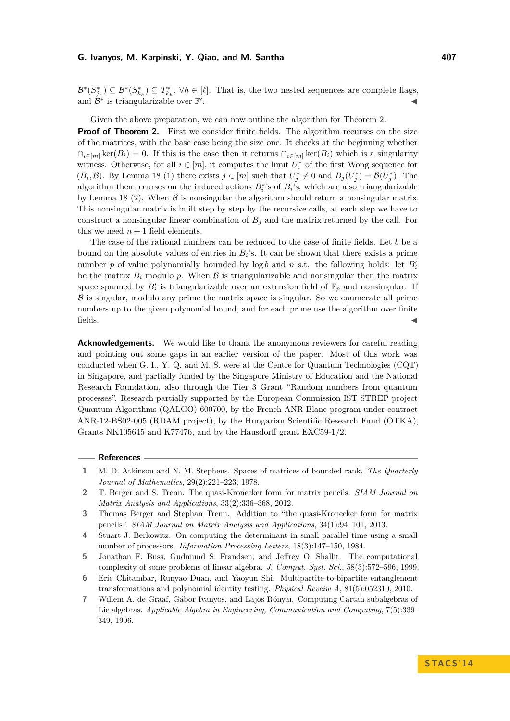$\mathcal{B}^*(S_{j_h}^*) \subseteq \mathcal{B}^*(S_{k_h}^*) \subseteq T_{k_h}^*$ ,  $\forall h \in [\ell]$ . That is, the two nested sequences are complete flags, and  $\overline{\mathcal{B}}^*$  is triangularizable over  $\mathbb{F}'$ . J

#### Given the above preparation, we can now outline the algorithm for Theorem [2.](#page-2-2)

**Proof of Theorem [2.](#page-2-2)** First we consider finite fields. The algorithm recurses on the size of the matrices, with the base case being the size one. It checks at the beginning whether  $\cap_{i\in[m]}$  ker( $B_i$ ) = 0. If this is the case then it returns  $\cap_{i\in[m]}$  ker( $B_i$ ) which is a singularity witness. Otherwise, for all  $i \in [m]$ , it computes the limit  $U_i^*$  of the first Wong sequence for  $(B_i, \mathcal{B})$ . By Lemma [18](#page-9-2) (1) there exists  $j \in [m]$  such that  $U_j^* \neq 0$  and  $B_j(U_j^*) = \mathcal{B}(U_j^*)$ . The algorithm then recurses on the induced actions  $B_i^*$ 's of  $B_i$ 's, which are also triangularizable by Lemma [18](#page-9-2) (2). When  $\beta$  is nonsingular the algorithm should return a nonsingular matrix. This nonsingular matrix is built step by step by the recursive calls, at each step we have to construct a nonsingular linear combination of  $B_j$  and the matrix returned by the call. For this we need  $n + 1$  field elements.

The case of the rational numbers can be reduced to the case of finite fields. Let *b* be a bound on the absolute values of entries in  $B_i$ 's. It can be shown that there exists a prime number *p* of value polynomially bounded by  $\log b$  and *n* s.t. the following holds: let  $B_i'$ be the matrix  $B_i$  modulo p. When  $\beta$  is triangularizable and nonsingular then the matrix space spanned by  $B_i'$  is triangularizable over an extension field of  $\mathbb{F}_p$  and nonsingular. If  $\beta$  is singular, modulo any prime the matrix space is singular. So we enumerate all prime numbers up to the given polynomial bound, and for each prime use the algorithm over finite  $\blacksquare$  fields.

**Acknowledgements.** We would like to thank the anonymous reviewers for careful reading and pointing out some gaps in an earlier version of the paper. Most of this work was conducted when G. I., Y. Q. and M. S. were at the Centre for Quantum Technologies (CQT) in Singapore, and partially funded by the Singapore Ministry of Education and the National Research Foundation, also through the Tier 3 Grant "Random numbers from quantum processes". Research partially supported by the European Commission IST STREP project Quantum Algorithms (QALGO) 600700, by the French ANR Blanc program under contract ANR-12-BS02-005 (RDAM project), by the Hungarian Scientific Research Fund (OTKA), Grants NK105645 and K77476, and by the Hausdorff grant EXC59-1/2.

#### **References**

- <span id="page-10-5"></span>**1** M. D. Atkinson and N. M. Stephens. Spaces of matrices of bounded rank. *The Quarterly Journal of Mathematics*, 29(2):221–223, 1978.
- <span id="page-10-3"></span>**2** T. Berger and S. Trenn. The quasi-Kronecker form for matrix pencils. *SIAM Journal on Matrix Analysis and Applications*, 33(2):336–368, 2012.
- <span id="page-10-4"></span>**3** Thomas Berger and Stephan Trenn. Addition to "the quasi-Kronecker form for matrix pencils". *SIAM Journal on Matrix Analysis and Applications*, 34(1):94–101, 2013.
- <span id="page-10-1"></span>**4** Stuart J. Berkowitz. On computing the determinant in small parallel time using a small number of processors. *Information Processing Letters*, 18(3):147–150, 1984.
- <span id="page-10-0"></span>**5** Jonathan F. Buss, Gudmund S. Frandsen, and Jeffrey O. Shallit. The computational complexity of some problems of linear algebra. *J. Comput. Syst. Sci.*, 58(3):572–596, 1999.
- <span id="page-10-2"></span>**6** Eric Chitambar, Runyao Duan, and Yaoyun Shi. Multipartite-to-bipartite entanglement transformations and polynomial identity testing. *Physical Reveiw A*, 81(5):052310, 2010.
- <span id="page-10-6"></span>**7** Willem A. de Graaf, Gábor Ivanyos, and Lajos Rónyai. Computing Cartan subalgebras of Lie algebras. *Applicable Algebra in Engineering, Communication and Computing*, 7(5):339– 349, 1996.